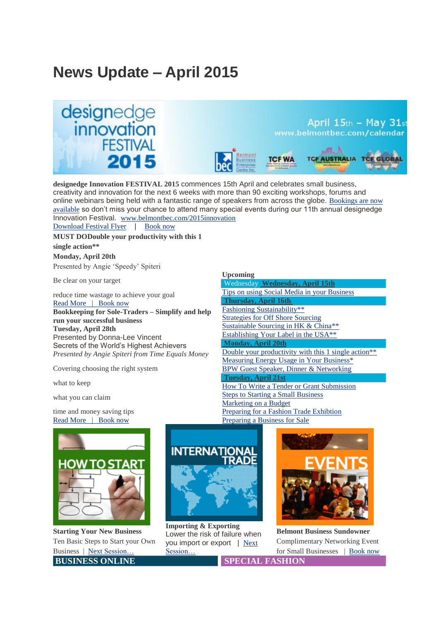# **News Update – April 2015**





**USTRALIA** 

**designedge Innovation FESTIVAL 2015** commences 15th April and celebrates small business, creativity and innovation for the next 6 weeks with more than 90 exciting workshops, forums and online webinars being held with a fantastic range of speakers from across the globe. [Bookings](http://bbec.bridgewaymailer.com/t/j-l-dhdihkd-l-n/) are now [available](http://bbec.bridgewaymailer.com/t/j-l-dhdihkd-l-n/) so don't miss your chance to attend many special events during our 11th annual designedge Innovation Festival. [www.belmontbec.com/2015innovation](http://bbec.bridgewaymailer.com/t/j-l-dhdihkd-l-s/)

[Download](http://bbec.bridgewaymailer.com/t/j-l-dhdihkd-l-g/) Festival Flyer | [Book](http://bbec.bridgewaymailer.com/t/j-l-dhdihkd-l-w/) now

**MUST DODouble your productivity with this 1 single action\*\* Monday, April 20th** Presented by Angie 'Speedy' Spiteri

Be clear on your target

 reduce time wastage to achieve your goal Read [More | Book](http://bbec.bridgewaymailer.com/t/j-l-dhdihkd-l-yd/) now **Bookkeeping for Sole-Traders – Simplify and help run your successful business Tuesday, April 28th** Presented by Donna-Lee Vincent Secrets of the World's Highest Achievers *Presented by Angie Spiteri from Time Equals Money*

Covering choosing the right system

what to keep

what you can claim

 time and money saving tips Read [More | Book](http://bbec.bridgewaymailer.com/t/j-l-dhdihkd-l-yh/) now



**Starting Your New Business** Ten Basic Steps to Start your Own Business | Next [Session…](http://bbec.bridgewaymailer.com/t/j-l-dhdihkd-l-jk/) **[B](http://bbec.bridgewaymailer.com/t/j-l-dhdihkd-l-tj/)U[S](http://bbec.bridgewaymailer.com/t/j-l-dhdihkd-l-dr/)INESS ONLINE SPECIAL FASHION** 



**Importing & Exporting** Lower the risk of failure when you import or export | [Next](http://bbec.bridgewaymailer.com/t/j-l-dhdihkd-l-tl/) [Session…](http://bbec.bridgewaymailer.com/t/j-l-dhdihkd-l-tl/)



**Belmont Business Sundowner** Complimentary Networking Event for Small Businesses | [Book](http://bbec.bridgewaymailer.com/t/j-l-dhdihkd-l-ty/) now

#### **Upcoming**

| Wednesday Wednesday, April 15th                                  |
|------------------------------------------------------------------|
| Tips on using Social Media in your Business                      |
| <b>Thursday, April 16th</b>                                      |
| Fashioning Sustainability**                                      |
| <b>Strategies for Off Shore Sourcing</b>                         |
| Sustainable Sourcing in HK & China**                             |
| Establishing Your Label in the USA <sup>**</sup>                 |
| <b>Monday, April 20th</b>                                        |
| Double your productivity with this 1 single action <sup>**</sup> |
| <b>Measuring Energy Usage in Your Business*</b>                  |
| BPW Guest Speaker, Dinner & Networking                           |
| <b>Tuesday, April 21st</b>                                       |
| <b>How To Write a Tender or Grant Submission</b>                 |
| <b>Steps to Starting a Small Business</b>                        |
| Marketing on a Budget                                            |
| Preparing for a Fashion Trade Exhibtion                          |
|                                                                  |

[Preparing](http://bbec.bridgewaymailer.com/t/j-l-dhdihkd-l-jd/) a Business for Sale